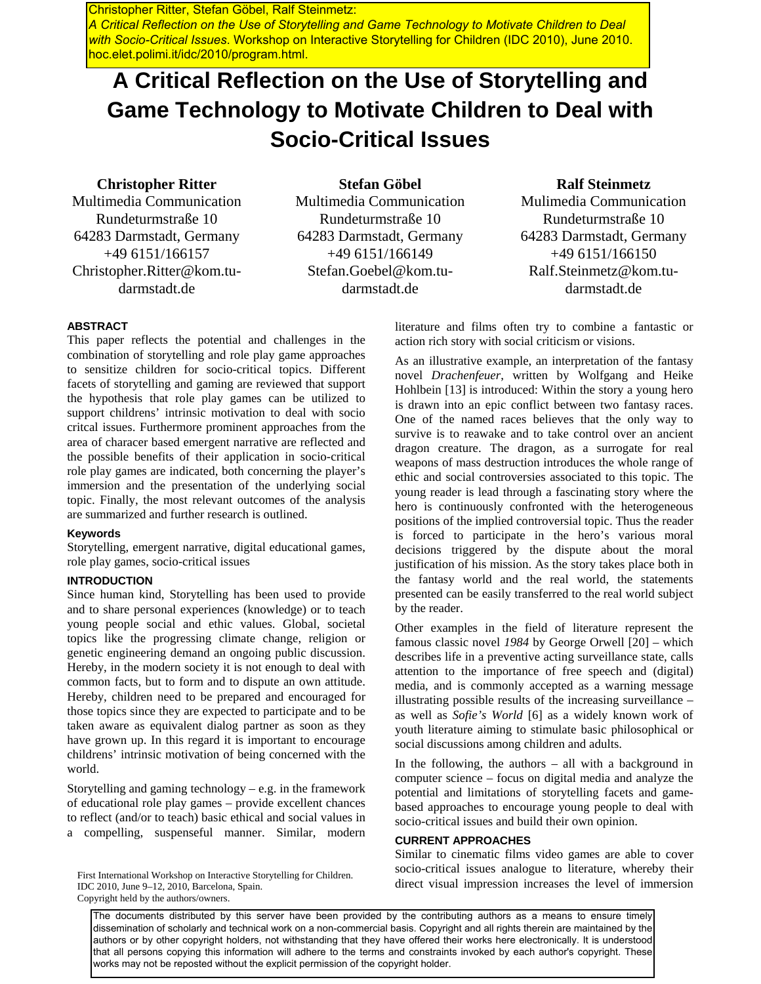Christopher Ritter, Stefan Göbel, Ralf Steinmetz: *A Critical Reflection on the Use of Storytelling and Game Technology to Motivate Children to Deal with Socio-Critical Issues*. Workshop on Interactive Storytelling for Children (IDC 2010), June 2010. hoc.elet.polimi.it/idc/2010/program.html.

# **A Critical Reflection on the Use of Storytelling and Game Technology to Motivate Children to Deal with Socio-Critical Issues**

# **Christopher Ritter**

Multimedia Communication Rundeturmstraße 10 64283 Darmstadt, Germany +49 6151/166157 Christopher.Ritter@kom.tudarmstadt.de

**Stefan Göbel**  Multimedia Communication Rundeturmstraße 10 64283 Darmstadt, Germany +49 6151/166149 Stefan.Goebel@kom.tudarmstadt.de

## **Ralf Steinmetz**

Mulimedia Communication Rundeturmstraße 10 64283 Darmstadt, Germany +49 6151/166150 Ralf.Steinmetz@kom.tudarmstadt.de

### **ABSTRACT**

This paper reflects the potential and challenges in the combination of storytelling and role play game approaches to sensitize children for socio-critical topics. Different facets of storytelling and gaming are reviewed that support the hypothesis that role play games can be utilized to support childrens' intrinsic motivation to deal with socio critcal issues. Furthermore prominent approaches from the area of characer based emergent narrative are reflected and the possible benefits of their application in socio-critical role play games are indicated, both concerning the player's immersion and the presentation of the underlying social topic. Finally, the most relevant outcomes of the analysis are summarized and further research is outlined.

### **Keywords**

Storytelling, emergent narrative, digital educational games, role play games, socio-critical issues

### **INTRODUCTION**

Since human kind, Storytelling has been used to provide and to share personal experiences (knowledge) or to teach young people social and ethic values. Global, societal topics like the progressing climate change, religion or genetic engineering demand an ongoing public discussion. Hereby, in the modern society it is not enough to deal with common facts, but to form and to dispute an own attitude. Hereby, children need to be prepared and encouraged for those topics since they are expected to participate and to be taken aware as equivalent dialog partner as soon as they have grown up. In this regard it is important to encourage childrens' intrinsic motivation of being concerned with the world.

Storytelling and gaming technology  $-e.g.$  in the framework of educational role play games – provide excellent chances to reflect (and/or to teach) basic ethical and social values in a compelling, suspenseful manner. Similar, modern

IDC 2010, June 9–12, 2010, Barcelona, Spain. Copyright held by the authors/owners.

literature and films often try to combine a fantastic or action rich story with social criticism or visions.

As an illustrative example, an interpretation of the fantasy novel *Drachenfeuer*, written by Wolfgang and Heike Hohlbein [13] is introduced: Within the story a young hero is drawn into an epic conflict between two fantasy races. One of the named races believes that the only way to survive is to reawake and to take control over an ancient dragon creature. The dragon, as a surrogate for real weapons of mass destruction introduces the whole range of ethic and social controversies associated to this topic. The young reader is lead through a fascinating story where the hero is continuously confronted with the heterogeneous positions of the implied controversial topic. Thus the reader is forced to participate in the hero's various moral decisions triggered by the dispute about the moral justification of his mission. As the story takes place both in the fantasy world and the real world, the statements presented can be easily transferred to the real world subject by the reader.

Other examples in the field of literature represent the famous classic novel *1984* by George Orwell [20] – which describes life in a preventive acting surveillance state, calls attention to the importance of free speech and (digital) media, and is commonly accepted as a warning message illustrating possible results of the increasing surveillance – as well as *Sofie's World* [6] as a widely known work of youth literature aiming to stimulate basic philosophical or social discussions among children and adults.

In the following, the authors – all with a background in computer science – focus on digital media and analyze the potential and limitations of storytelling facets and gamebased approaches to encourage young people to deal with socio-critical issues and build their own opinion.

## **CURRENT APPROACHES**

Similar to cinematic films video games are able to cover socio-critical issues analogue to literature, whereby their First International Workshop on Interactive Storytelling for Children.<br>IDC 2010 Inne 9-12 2010 Barcelona Spain<br>direct visual impression increases the level of immersion

The documents distributed by this server have been provided by the contributing authors as a means to ensure timely dissemination of scholarly and technical work on a non-commercial basis. Copyright and all rights therein are maintained by the authors or by other copyright holders, not withstanding that they have offered their works here electronically. It is understood that all persons copying this information will adhere to the terms and constraints invoked by each author's copyright. These works may not be reposted without the explicit permission of the copyright holder.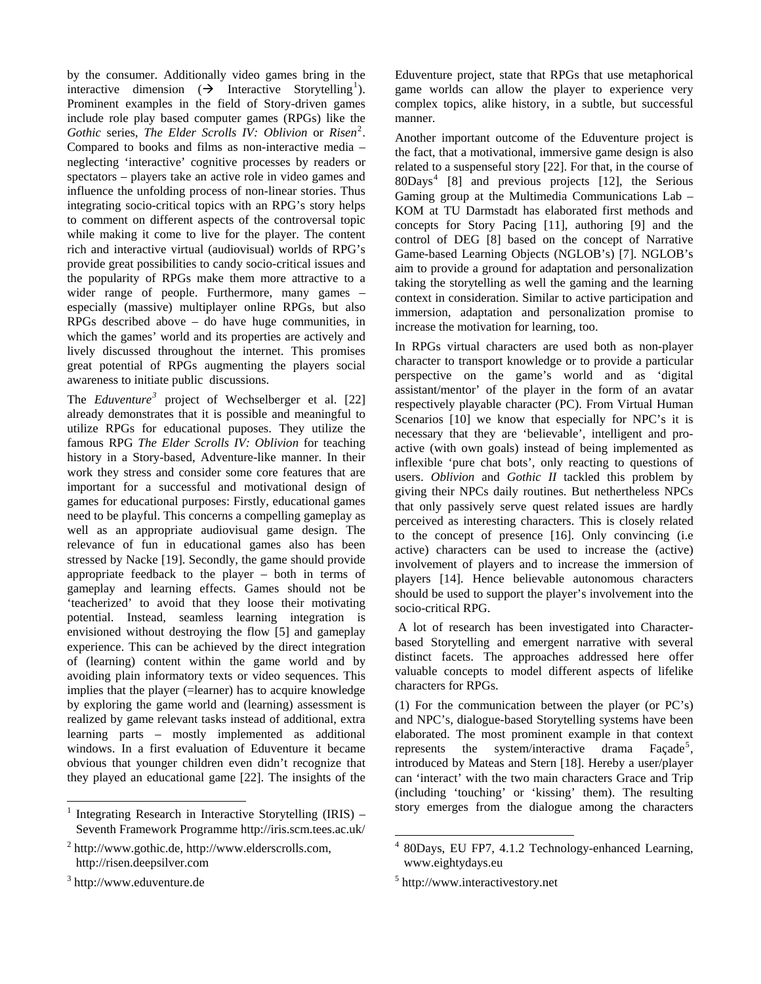by the consumer. Additionally video games bring in the interactive dimension  $(\rightarrow)$  Interactive Storytelling<sup>[1](#page-1-0)</sup>). Prominent examples in the field of Story-driven games include role play based computer games (RPGs) like the Gothic series, *The Elder Scrolls IV: Oblivion* or *Risen*<sup>[2](#page-1-1)</sup>. Compared to books and films as non-interactive media – neglecting 'interactive' cognitive processes by readers or spectators – players take an active role in video games and influence the unfolding process of non-linear stories. Thus integrating socio-critical topics with an RPG's story helps to comment on different aspects of the controversal topic while making it come to live for the player. The content rich and interactive virtual (audiovisual) worlds of RPG's provide great possibilities to candy socio-critical issues and the popularity of RPGs make them more attractive to a wider range of people. Furthermore, many games – especially (massive) multiplayer online RPGs, but also RPGs described above – do have huge communities, in which the games' world and its properties are actively and lively discussed throughout the internet. This promises great potential of RPGs augmenting the players social awareness to initiate public discussions.

The *Eduventure[3](#page-1-2)* project of Wechselberger et al. [22] already demonstrates that it is possible and meaningful to utilize RPGs for educational puposes. They utilize the famous RPG *The Elder Scrolls IV: Oblivion* for teaching history in a Story-based, Adventure-like manner. In their work they stress and consider some core features that are important for a successful and motivational design of games for educational purposes: Firstly, educational games need to be playful. This concerns a compelling gameplay as well as an appropriate audiovisual game design. The relevance of fun in educational games also has been stressed by Nacke [19]. Secondly, the game should provide appropriate feedback to the player – both in terms of gameplay and learning effects. Games should not be 'teacherized' to avoid that they loose their motivating potential. Instead, seamless learning integration is envisioned without destroying the flow [5] and gameplay experience. This can be achieved by the direct integration of (learning) content within the game world and by avoiding plain informatory texts or video sequences. This implies that the player (=learner) has to acquire knowledge by exploring the game world and (learning) assessment is realized by game relevant tasks instead of additional, extra learning parts – mostly implemented as additional windows. In a first evaluation of Eduventure it became obvious that younger children even didn't recognize that they played an educational game [22]. The insights of the

l

Eduventure project, state that RPGs that use metaphorical game worlds can allow the player to experience very complex topics, alike history, in a subtle, but successful manner.

Another important outcome of the Eduventure project is the fact, that a motivational, immersive game design is also related to a suspenseful story [22]. For that, in the course of 80Days[4](#page-1-1) [8] and previous projects [12], the Serious Gaming group at the Multimedia Communications Lab – KOM at TU Darmstadt has elaborated first methods and concepts for Story Pacing [11], authoring [9] and the control of DEG [8] based on the concept of Narrative Game-based Learning Objects (NGLOB's) [7]. NGLOB's aim to provide a ground for adaptation and personalization taking the storytelling as well the gaming and the learning context in consideration. Similar to active participation and immersion, adaptation and personalization promise to increase the motivation for learning, too.

In RPGs virtual characters are used both as non-player character to transport knowledge or to provide a particular perspective on the game's world and as 'digital assistant/mentor' of the player in the form of an avatar respectively playable character (PC). From Virtual Human Scenarios [10] we know that especially for NPC's it is necessary that they are 'believable', intelligent and proactive (with own goals) instead of being implemented as inflexible 'pure chat bots', only reacting to questions of users. *Oblivion* and *Gothic II* tackled this problem by giving their NPCs daily routines. But nethertheless NPCs that only passively serve quest related issues are hardly perceived as interesting characters. This is closely related to the concept of presence [16]. Only convincing (i.e active) characters can be used to increase the (active) involvement of players and to increase the immersion of players [14]. Hence believable autonomous characters should be used to support the player's involvement into the socio-critical RPG.

 A lot of research has been investigated into Characterbased Storytelling and emergent narrative with several distinct facets. The approaches addressed here offer valuable concepts to model different aspects of lifelike characters for RPGs.

(1) For the communication between the player (or PC's) and NPC's, dialogue-based Storytelling systems have been elaborated. The most prominent example in that context represents the system/interactive drama Façade<sup>[5](#page-1-2)</sup>, introduced by Mateas and Stern [18]. Hereby a user/player can 'interact' with the two main characters Grace and Trip (including 'touching' or 'kissing' them). The resulting story emerges from the dialogue among the characters

<span id="page-1-0"></span><sup>1</sup> Integrating Research in Interactive Storytelling (IRIS) – Seventh Framework Programme http://iris.scm.tees.ac.uk/

<span id="page-1-1"></span><sup>&</sup>lt;sup>2</sup> http://www.gothic.de, http://www.elderscrolls.com, http://risen.deepsilver.com

<span id="page-1-2"></span><sup>3</sup> http://www.eduventure.de

 4 80Days, EU FP7, 4.1.2 Technology-enhanced Learning, www.eightydays.eu

<sup>5</sup> http://www.interactivestory.net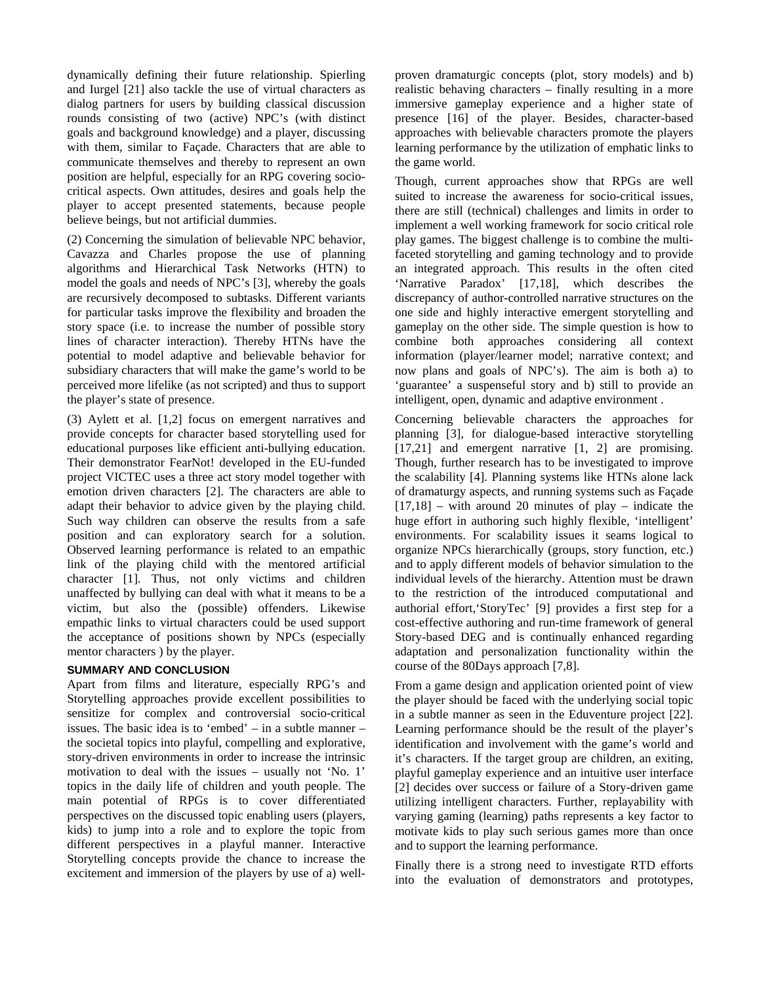dynamically defining their future relationship. Spierling and Iurgel [21] also tackle the use of virtual characters as dialog partners for users by building classical discussion rounds consisting of two (active) NPC's (with distinct goals and background knowledge) and a player, discussing with them, similar to Façade. Characters that are able to communicate themselves and thereby to represent an own position are helpful, especially for an RPG covering sociocritical aspects. Own attitudes, desires and goals help the player to accept presented statements, because people believe beings, but not artificial dummies.

(2) Concerning the simulation of believable NPC behavior, Cavazza and Charles propose the use of planning algorithms and Hierarchical Task Networks (HTN) to model the goals and needs of NPC's [3], whereby the goals are recursively decomposed to subtasks. Different variants for particular tasks improve the flexibility and broaden the story space (i.e. to increase the number of possible story lines of character interaction). Thereby HTNs have the potential to model adaptive and believable behavior for subsidiary characters that will make the game's world to be perceived more lifelike (as not scripted) and thus to support the player's state of presence.

(3) Aylett et al. [[1,](#page-3-0)[2](#page-3-1)] focus on emergent narratives and provide concepts for character based storytelling used for educational purposes like efficient anti-bullying education. Their demonstrator FearNot! developed in the EU-funded project VICTEC uses a three act story model together with emotion driven characters [\[2](#page-3-1)]. The characters are able to adapt their behavior to advice given by the playing child. Such way children can observe the results from a safe position and can exploratory search for a solution. Observed learning performance is related to an empathic link of the playing child with the mentored artificial character [[1\]](#page-3-0). Thus, not only victims and children unaffected by bullying can deal with what it means to be a victim, but also the (possible) offenders. Likewise empathic links to virtual characters could be used support the acceptance of positions shown by NPCs (especially mentor characters ) by the player.

## **SUMMARY AND CONCLUSION**

Apart from films and literature, especially RPG's and Storytelling approaches provide excellent possibilities to sensitize for complex and controversial socio-critical issues. The basic idea is to 'embed' – in a subtle manner – the societal topics into playful, compelling and explorative, story-driven environments in order to increase the intrinsic motivation to deal with the issues – usually not 'No. 1' topics in the daily life of children and youth people. The main potential of RPGs is to cover differentiated perspectives on the discussed topic enabling users (players, kids) to jump into a role and to explore the topic from different perspectives in a playful manner. Interactive Storytelling concepts provide the chance to increase the excitement and immersion of the players by use of a) wellproven dramaturgic concepts (plot, story models) and b) realistic behaving characters – finally resulting in a more immersive gameplay experience and a higher state of presence [16] of the player. Besides, character-based approaches with believable characters promote the players learning performance by the utilization of emphatic links to the game world.

Though, current approaches show that RPGs are well suited to increase the awareness for socio-critical issues, there are still (technical) challenges and limits in order to implement a well working framework for socio critical role play games. The biggest challenge is to combine the multifaceted storytelling and gaming technology and to provide an integrated approach. This results in the often cited 'Narrative Paradox' [17,18], which describes the discrepancy of author-controlled narrative structures on the one side and highly interactive emergent storytelling and gameplay on the other side. The simple question is how to combine both approaches considering all context information (player/learner model; narrative context; and now plans and goals of NPC's). The aim is both a) to 'guarantee' a suspenseful story and b) still to provide an intelligent, open, dynamic and adaptive environment .

Concerning believable characters the approaches for planning [3], for dialogue-based interactive storytelling [17,21] and emergent narrative [[1,](#page-3-0) [2](#page-3-1)] are promising. Though, further research has to be investigated to improve the scalability [4]. Planning systems like HTNs alone lack of dramaturgy aspects, and running systems such as Façade  $[17,18]$  – with around 20 minutes of play – indicate the huge effort in authoring such highly flexible, 'intelligent' environments. For scalability issues it seams logical to organize NPCs hierarchically (groups, story function, etc.) and to apply different models of behavior simulation to the individual levels of the hierarchy. Attention must be drawn to the restriction of the introduced computational and authorial effort,'StoryTec' [9] provides a first step for a cost-effective authoring and run-time framework of general Story-based DEG and is continually enhanced regarding adaptation and personalization functionality within the course of the 80Days approach [7,8].

From a game design and application oriented point of view the player should be faced with the underlying social topic in a subtle manner as seen in the Eduventure project [22]. Learning performance should be the result of the player's identification and involvement with the game's world and it's characters. If the target group are children, an exiting, playful gameplay experience and an intuitive user interface [\[2](#page-3-1)] decides over success or failure of a Story-driven game utilizing intelligent characters. Further, replayability with varying gaming (learning) paths represents a key factor to motivate kids to play such serious games more than once and to support the learning performance.

Finally there is a strong need to investigate RTD efforts into the evaluation of demonstrators and prototypes,